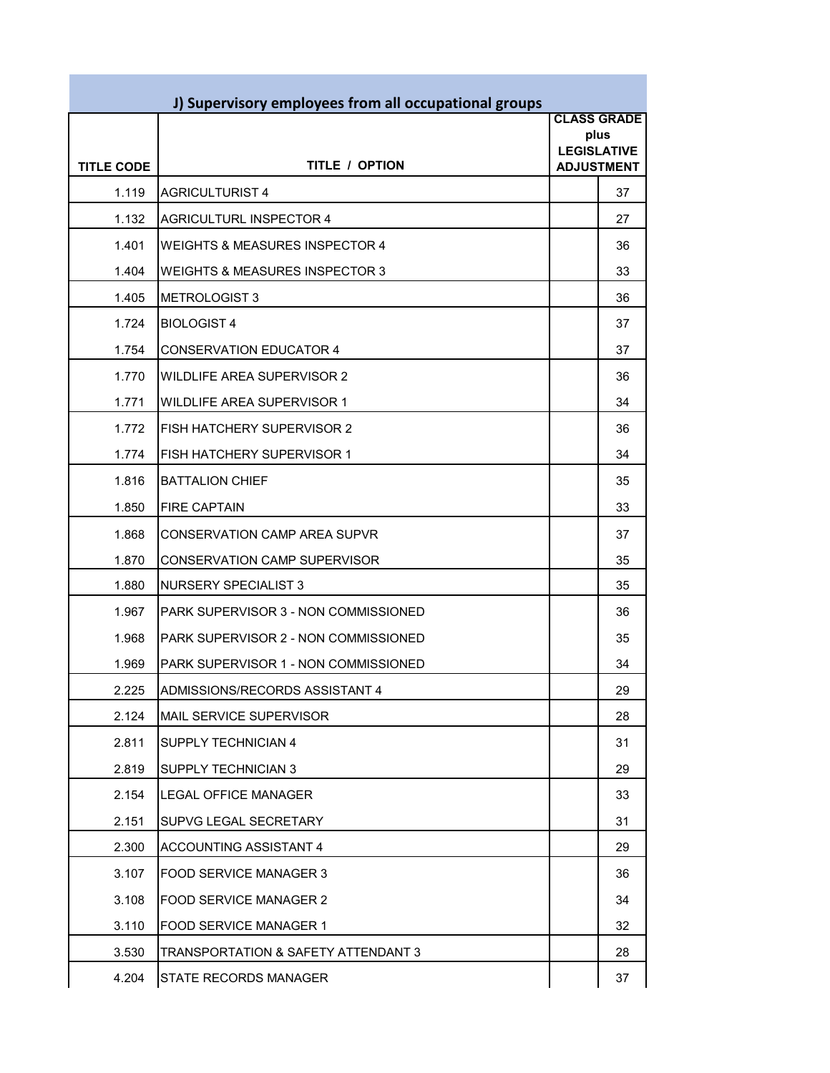|                   | J) Supervisory employees from all occupational groups |                            |                    |
|-------------------|-------------------------------------------------------|----------------------------|--------------------|
|                   |                                                       |                            | <b>CLASS GRADE</b> |
|                   |                                                       | plus<br><b>LEGISLATIVE</b> |                    |
| <b>TITLE CODE</b> | <b>TITLE / OPTION</b>                                 | <b>ADJUSTMENT</b>          |                    |
| 1.119             | <b>AGRICULTURIST 4</b>                                |                            | 37                 |
| 1.132             | <b>AGRICULTURL INSPECTOR 4</b>                        |                            | 27                 |
| 1.401             | <b>WEIGHTS &amp; MEASURES INSPECTOR 4</b>             |                            | 36                 |
| 1.404             | <b>WEIGHTS &amp; MEASURES INSPECTOR 3</b>             |                            | 33                 |
| 1.405             | <b>METROLOGIST 3</b>                                  |                            | 36                 |
| 1.724             | <b>BIOLOGIST 4</b>                                    |                            | 37                 |
| 1.754             | <b>CONSERVATION EDUCATOR 4</b>                        |                            | 37                 |
| 1.770             | <b>WILDLIFE AREA SUPERVISOR 2</b>                     |                            | 36                 |
| 1.771             | <b>WILDLIFE AREA SUPERVISOR 1</b>                     |                            | 34                 |
| 1.772             | FISH HATCHERY SUPERVISOR 2                            |                            | 36                 |
| 1.774             | FISH HATCHERY SUPERVISOR 1                            |                            | 34                 |
| 1.816             | <b>BATTALION CHIEF</b>                                |                            | 35                 |
| 1.850             | <b>FIRE CAPTAIN</b>                                   |                            | 33                 |
| 1.868             | <b>CONSERVATION CAMP AREA SUPVR</b>                   |                            | 37                 |
| 1.870             | CONSERVATION CAMP SUPERVISOR                          |                            | 35                 |
| 1.880             | <b>NURSERY SPECIALIST 3</b>                           |                            | 35                 |
| 1.967             | PARK SUPERVISOR 3 - NON COMMISSIONED                  |                            | 36                 |
| 1.968             | PARK SUPERVISOR 2 - NON COMMISSIONED                  |                            | 35                 |
| 1.969             | PARK SUPERVISOR 1 - NON COMMISSIONED                  |                            | 34                 |
| 2.225             | ADMISSIONS/RECORDS ASSISTANT 4                        |                            | 29                 |
| 2.124             | MAIL SERVICE SUPERVISOR                               |                            | 28                 |
| 2.811             | SUPPLY TECHNICIAN 4                                   |                            | 31                 |
| 2.819             | SUPPLY TECHNICIAN 3                                   |                            | 29                 |
| 2.154             | <b>LEGAL OFFICE MANAGER</b>                           |                            | 33                 |
| 2.151             | SUPVG LEGAL SECRETARY                                 |                            | 31                 |
| 2.300             | ACCOUNTING ASSISTANT 4                                |                            | 29                 |
| 3.107             | FOOD SERVICE MANAGER 3                                |                            | 36                 |
| 3.108             | <b>FOOD SERVICE MANAGER 2</b>                         |                            | 34                 |
| 3.110             | FOOD SERVICE MANAGER 1                                |                            | 32                 |
| 3.530             | TRANSPORTATION & SAFETY ATTENDANT 3                   |                            | 28                 |
| 4.204             | STATE RECORDS MANAGER                                 |                            | 37                 |

г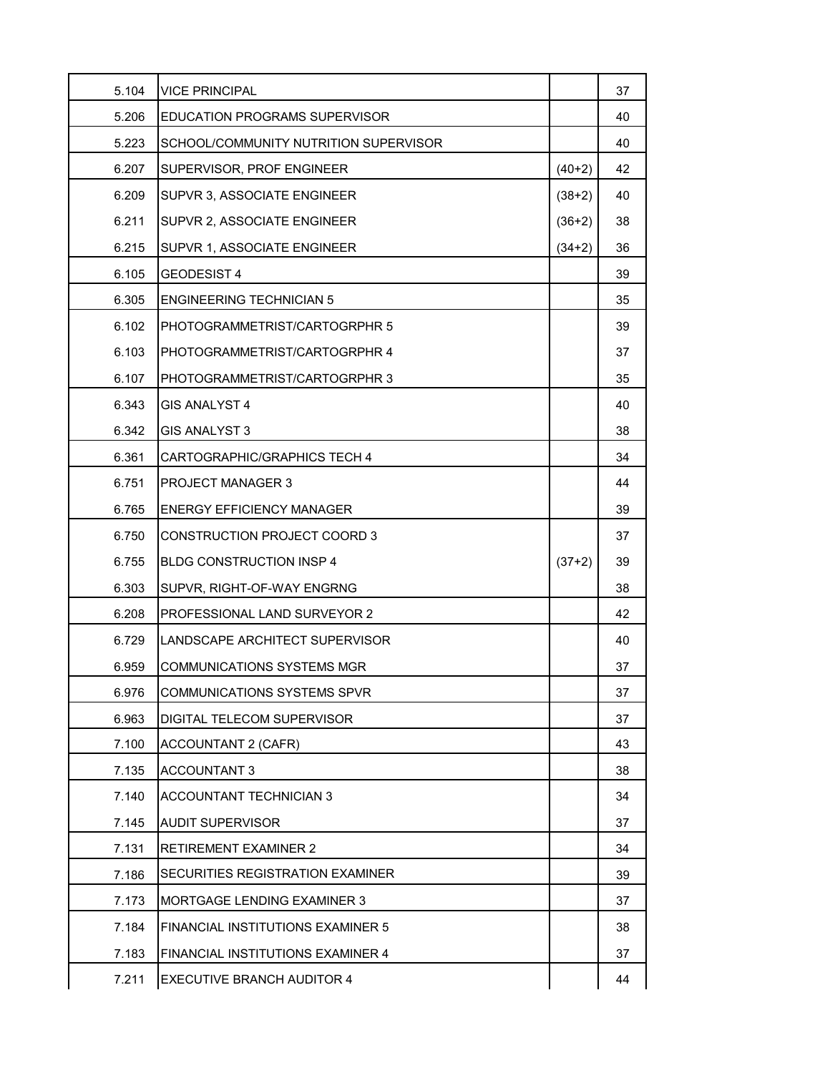| 5.104 | <b>VICE PRINCIPAL</b>                 |          | 37 |
|-------|---------------------------------------|----------|----|
| 5.206 | <b>EDUCATION PROGRAMS SUPERVISOR</b>  |          | 40 |
| 5.223 | SCHOOL/COMMUNITY NUTRITION SUPERVISOR |          | 40 |
| 6.207 | SUPERVISOR, PROF ENGINEER             | $(40+2)$ | 42 |
| 6.209 | SUPVR 3, ASSOCIATE ENGINEER           | $(38+2)$ | 40 |
| 6.211 | SUPVR 2, ASSOCIATE ENGINEER           | $(36+2)$ | 38 |
| 6.215 | SUPVR 1, ASSOCIATE ENGINEER           | $(34+2)$ | 36 |
| 6.105 | <b>GEODESIST 4</b>                    |          | 39 |
| 6.305 | <b>ENGINEERING TECHNICIAN 5</b>       |          | 35 |
| 6.102 | PHOTOGRAMMETRIST/CARTOGRPHR 5         |          | 39 |
| 6.103 | PHOTOGRAMMETRIST/CARTOGRPHR 4         |          | 37 |
| 6.107 | PHOTOGRAMMETRIST/CARTOGRPHR 3         |          | 35 |
| 6.343 | GIS ANALYST 4                         |          | 40 |
| 6.342 | <b>GIS ANALYST 3</b>                  |          | 38 |
| 6.361 | CARTOGRAPHIC/GRAPHICS TECH 4          |          | 34 |
| 6.751 | <b>PROJECT MANAGER 3</b>              |          | 44 |
| 6.765 | <b>ENERGY EFFICIENCY MANAGER</b>      |          | 39 |
| 6.750 | <b>CONSTRUCTION PROJECT COORD 3</b>   |          | 37 |
| 6.755 | <b>BLDG CONSTRUCTION INSP 4</b>       | $(37+2)$ | 39 |
| 6.303 | SUPVR, RIGHT-OF-WAY ENGRNG            |          | 38 |
| 6.208 | PROFESSIONAL LAND SURVEYOR 2          |          | 42 |
| 6.729 | ILANDSCAPE ARCHITECT SUPERVISOR       |          | 40 |
| 6.959 | COMMUNICATIONS SYSTEMS MGR            |          | 37 |
| 6.976 | <b>COMMUNICATIONS SYSTEMS SPVR</b>    |          | 37 |
| 6.963 | DIGITAL TELECOM SUPERVISOR            |          | 37 |
| 7.100 | ACCOUNTANT 2 (CAFR)                   |          | 43 |
| 7.135 | <b>ACCOUNTANT 3</b>                   |          | 38 |
| 7.140 | <b>ACCOUNTANT TECHNICIAN 3</b>        |          | 34 |
| 7.145 | <b>AUDIT SUPERVISOR</b>               |          | 37 |
| 7.131 | <b>RETIREMENT EXAMINER 2</b>          |          | 34 |
| 7.186 | SECURITIES REGISTRATION EXAMINER      |          | 39 |
| 7.173 | MORTGAGE LENDING EXAMINER 3           |          | 37 |
| 7.184 | FINANCIAL INSTITUTIONS EXAMINER 5     |          | 38 |
| 7.183 | FINANCIAL INSTITUTIONS EXAMINER 4     |          | 37 |
| 7.211 | <b>EXECUTIVE BRANCH AUDITOR 4</b>     |          | 44 |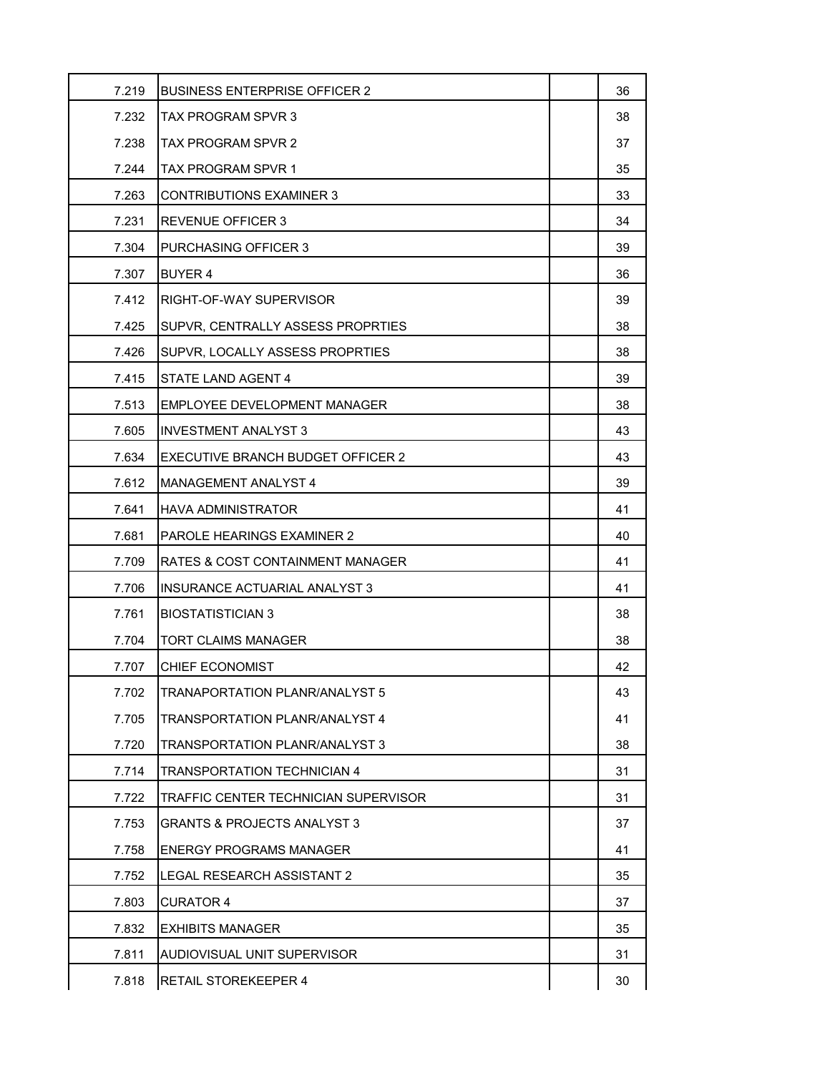| 7.219 | <b>BUSINESS ENTERPRISE OFFICER 2</b>   | 36 |
|-------|----------------------------------------|----|
| 7.232 | <b>TAX PROGRAM SPVR 3</b>              | 38 |
| 7.238 | TAX PROGRAM SPVR 2                     | 37 |
| 7.244 | TAX PROGRAM SPVR 1                     | 35 |
| 7.263 | <b>CONTRIBUTIONS EXAMINER 3</b>        | 33 |
| 7.231 | <b>REVENUE OFFICER 3</b>               | 34 |
| 7.304 | <b>PURCHASING OFFICER 3</b>            | 39 |
| 7.307 | BUYER 4                                | 36 |
| 7.412 | RIGHT-OF-WAY SUPERVISOR                | 39 |
| 7.425 | SUPVR, CENTRALLY ASSESS PROPRTIES      | 38 |
| 7.426 | SUPVR. LOCALLY ASSESS PROPRTIES        | 38 |
| 7.415 | STATE LAND AGENT 4                     | 39 |
| 7.513 | EMPLOYEE DEVELOPMENT MANAGER           | 38 |
| 7.605 | <b>INVESTMENT ANALYST 3</b>            | 43 |
| 7.634 | EXECUTIVE BRANCH BUDGET OFFICER 2      | 43 |
| 7.612 | MANAGEMENT ANALYST 4                   | 39 |
| 7.641 | HAVA ADMINISTRATOR                     | 41 |
| 7.681 | PAROLE HEARINGS EXAMINER 2             | 40 |
| 7.709 | RATES & COST CONTAINMENT MANAGER       | 41 |
| 7.706 | INSURANCE ACTUARIAL ANALYST 3          | 41 |
| 7.761 | <b>BIOSTATISTICIAN 3</b>               | 38 |
| 7.704 | TORT CLAIMS MANAGER                    | 38 |
| 7.707 | <b>CHIEF ECONOMIST</b>                 | 42 |
| 7.702 | <b>TRANAPORTATION PLANR/ANALYST 5</b>  | 43 |
| 7.705 | <b>TRANSPORTATION PLANR/ANALYST 4</b>  | 41 |
| 7.720 | TRANSPORTATION PLANR/ANALYST 3         | 38 |
| 7.714 | TRANSPORTATION TECHNICIAN 4            | 31 |
| 7.722 | TRAFFIC CENTER TECHNICIAN SUPERVISOR   | 31 |
| 7.753 | <b>GRANTS &amp; PROJECTS ANALYST 3</b> | 37 |
| 7.758 | ENERGY PROGRAMS MANAGER                | 41 |
| 7.752 | LEGAL RESEARCH ASSISTANT 2             | 35 |
| 7.803 | <b>CURATOR 4</b>                       | 37 |
| 7.832 | EXHIBITS MANAGER                       | 35 |
| 7.811 | AUDIOVISUAL UNIT SUPERVISOR            | 31 |
| 7.818 | RETAIL STOREKEEPER 4                   | 30 |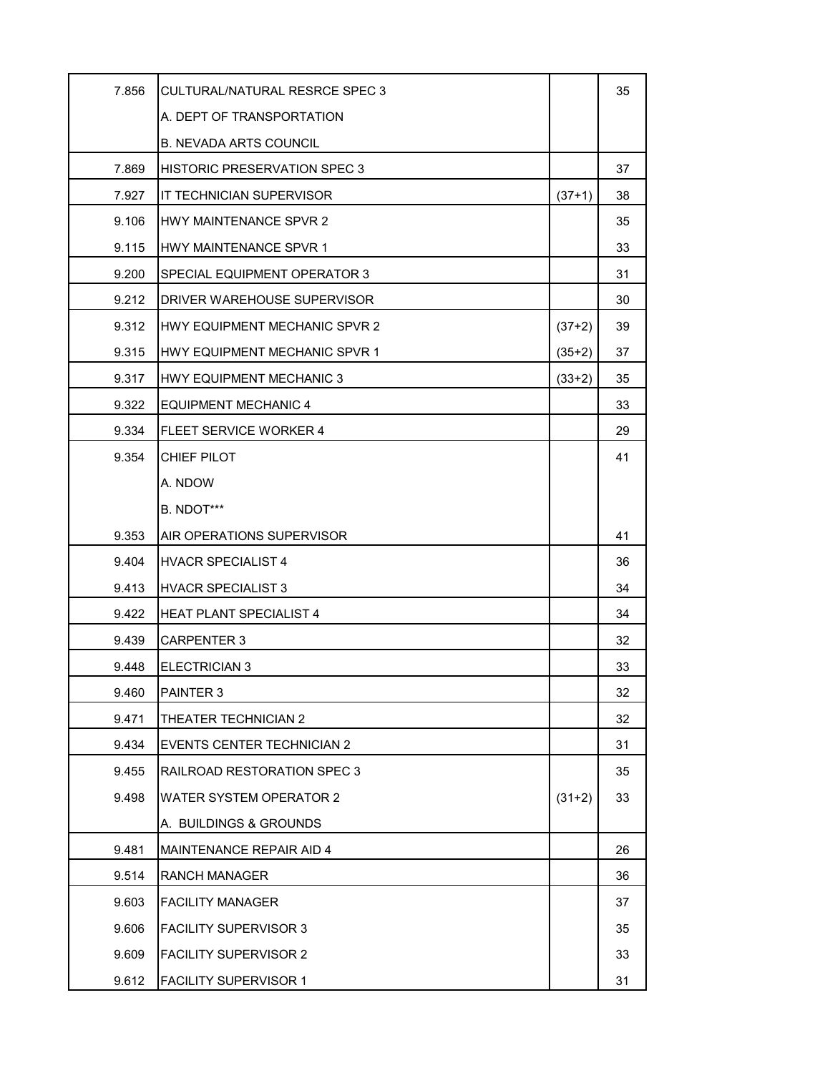| 7.856 | CULTURAL/NATURAL RESRCE SPEC 3      |          | 35 |
|-------|-------------------------------------|----------|----|
|       | A. DEPT OF TRANSPORTATION           |          |    |
|       | <b>B. NEVADA ARTS COUNCIL</b>       |          |    |
| 7.869 | <b>HISTORIC PRESERVATION SPEC 3</b> |          | 37 |
| 7.927 | IT TECHNICIAN SUPERVISOR            | $(37+1)$ | 38 |
| 9.106 | HWY MAINTENANCE SPVR 2              |          | 35 |
| 9.115 | <b>HWY MAINTENANCE SPVR 1</b>       |          | 33 |
| 9.200 | SPECIAL EQUIPMENT OPERATOR 3        |          | 31 |
| 9.212 | DRIVER WAREHOUSE SUPERVISOR         |          | 30 |
| 9.312 | HWY EQUIPMENT MECHANIC SPVR 2       | $(37+2)$ | 39 |
| 9.315 | HWY EQUIPMENT MECHANIC SPVR 1       | $(35+2)$ | 37 |
| 9.317 | HWY EQUIPMENT MECHANIC 3            | $(33+2)$ | 35 |
| 9.322 | <b>EQUIPMENT MECHANIC 4</b>         |          | 33 |
| 9.334 | <b>FLEET SERVICE WORKER 4</b>       |          | 29 |
| 9.354 | CHIEF PILOT                         |          | 41 |
|       | A. NDOW                             |          |    |
|       | B. NDOT***                          |          |    |
| 9.353 | AIR OPERATIONS SUPERVISOR           |          | 41 |
| 9.404 | <b>HVACR SPECIALIST 4</b>           |          | 36 |
| 9.413 | <b>HVACR SPECIALIST 3</b>           |          | 34 |
| 9.422 | <b>HEAT PLANT SPECIALIST 4</b>      |          | 34 |
| 9.439 | CARPENTER 3                         |          | 32 |
| 9.448 | ELECTRICIAN 3                       |          | 33 |
| 9.460 | PAINTER 3                           |          | 32 |
| 9.471 | THEATER TECHNICIAN 2                |          | 32 |
| 9.434 | <b>EVENTS CENTER TECHNICIAN 2</b>   |          | 31 |
| 9.455 | RAILROAD RESTORATION SPEC 3         |          | 35 |
| 9.498 | <b>WATER SYSTEM OPERATOR 2</b>      | $(31+2)$ | 33 |
|       | A. BUILDINGS & GROUNDS              |          |    |
| 9.481 | <b>MAINTENANCE REPAIR AID 4</b>     |          | 26 |
| 9.514 | RANCH MANAGER                       |          | 36 |
| 9.603 | <b>FACILITY MANAGER</b>             |          | 37 |
| 9.606 | <b>FACILITY SUPERVISOR 3</b>        |          | 35 |
| 9.609 | <b>FACILITY SUPERVISOR 2</b>        |          | 33 |
| 9.612 | <b>FACILITY SUPERVISOR 1</b>        |          | 31 |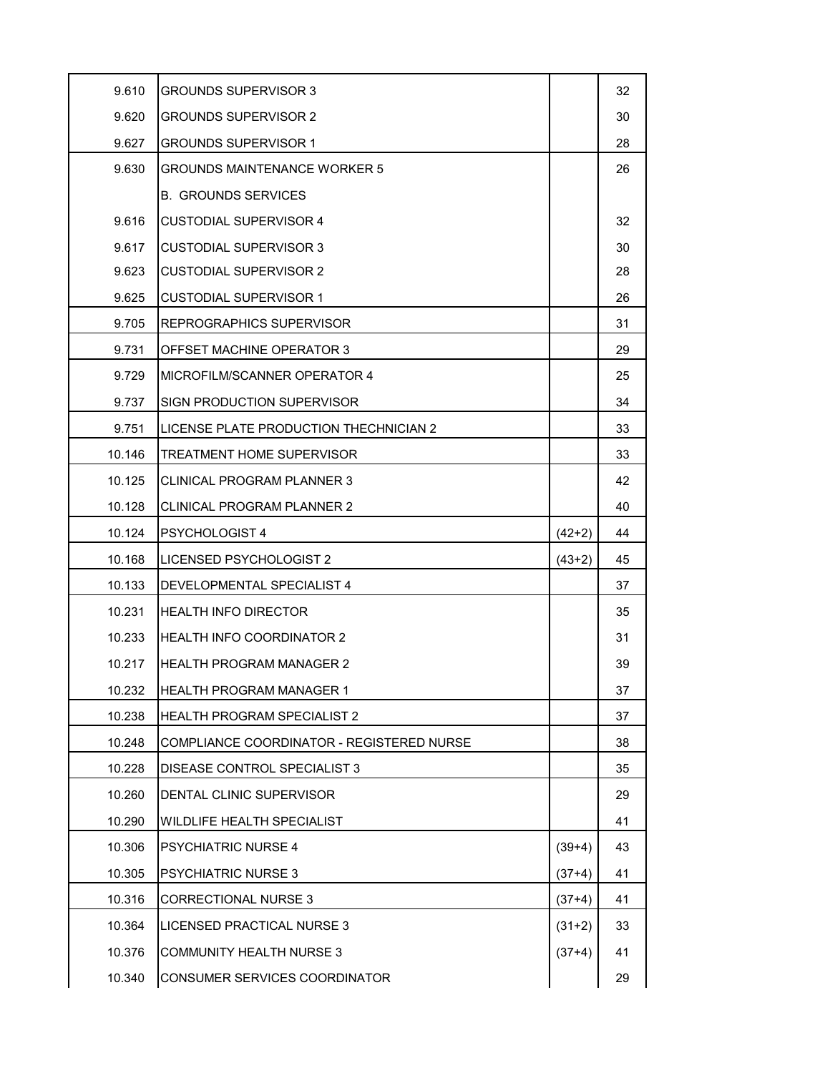| 9.610  | <b>GROUNDS SUPERVISOR 3</b>               |          | 32 |
|--------|-------------------------------------------|----------|----|
| 9.620  | <b>GROUNDS SUPERVISOR 2</b>               |          | 30 |
| 9.627  | <b>GROUNDS SUPERVISOR 1</b>               |          | 28 |
| 9.630  | <b>GROUNDS MAINTENANCE WORKER 5</b>       |          | 26 |
|        | <b>B. GROUNDS SERVICES</b>                |          |    |
| 9.616  | <b>CUSTODIAL SUPERVISOR 4</b>             |          | 32 |
| 9.617  | <b>CUSTODIAL SUPERVISOR 3</b>             |          | 30 |
| 9.623  | <b>CUSTODIAL SUPERVISOR 2</b>             |          | 28 |
| 9.625  | <b>CUSTODIAL SUPERVISOR 1</b>             |          | 26 |
| 9.705  | <b>REPROGRAPHICS SUPERVISOR</b>           |          | 31 |
| 9.731  | OFFSET MACHINE OPERATOR 3                 |          | 29 |
| 9.729  | IMICROFILM/SCANNER OPERATOR 4             |          | 25 |
| 9.737  | <b>SIGN PRODUCTION SUPERVISOR</b>         |          | 34 |
| 9.751  | LICENSE PLATE PRODUCTION THECHNICIAN 2    |          | 33 |
| 10.146 | <b>TREATMENT HOME SUPERVISOR</b>          |          | 33 |
| 10.125 | CLINICAL PROGRAM PLANNER 3                |          | 42 |
| 10.128 | <b>CLINICAL PROGRAM PLANNER 2</b>         |          | 40 |
| 10.124 | <b>PSYCHOLOGIST 4</b>                     | $(42+2)$ | 44 |
| 10.168 | LICENSED PSYCHOLOGIST 2                   | $(43+2)$ | 45 |
| 10.133 | DEVELOPMENTAL SPECIALIST 4                |          | 37 |
| 10.231 | IHEALTH INFO DIRECTOR                     |          | 35 |
| 10.233 | <b>HEALTH INFO COORDINATOR 2</b>          |          | 31 |
| 10.217 | IHEALTH PROGRAM MANAGER 2                 |          | 39 |
| 10.232 | <b>HEALTH PROGRAM MANAGER 1</b>           |          | 37 |
| 10.238 | HEALTH PROGRAM SPECIALIST 2               |          | 37 |
| 10.248 | COMPLIANCE COORDINATOR - REGISTERED NURSE |          | 38 |
| 10.228 | DISEASE CONTROL SPECIALIST 3              |          | 35 |
| 10.260 | DENTAL CLINIC SUPERVISOR                  |          | 29 |
| 10.290 | WILDLIFE HEALTH SPECIALIST                |          | 41 |
| 10.306 | <b>PSYCHIATRIC NURSE 4</b>                | $(39+4)$ | 43 |
| 10.305 | <b>PSYCHIATRIC NURSE 3</b>                | $(37+4)$ | 41 |
| 10.316 | <b>CORRECTIONAL NURSE 3</b>               | $(37+4)$ | 41 |
| 10.364 | LICENSED PRACTICAL NURSE 3                | $(31+2)$ | 33 |
| 10.376 | <b>COMMUNITY HEALTH NURSE 3</b>           | $(37+4)$ | 41 |
| 10.340 | CONSUMER SERVICES COORDINATOR             |          | 29 |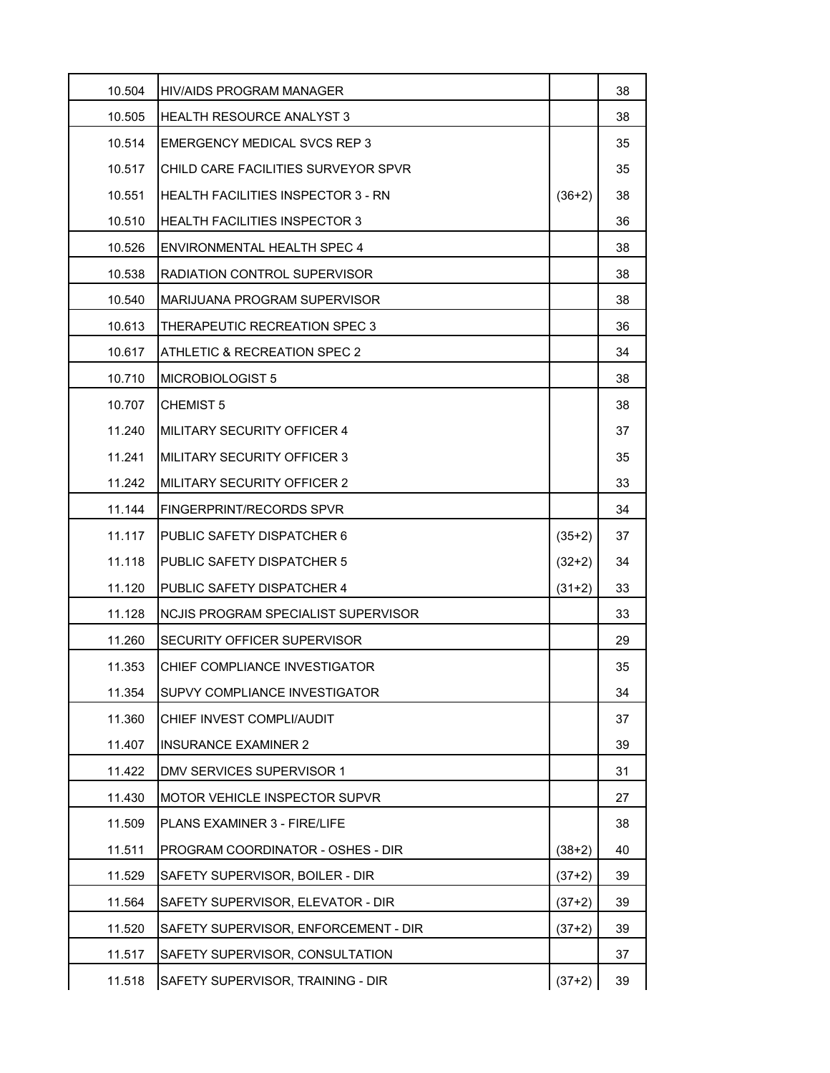| 10.504 | HIV/AIDS PROGRAM MANAGER             |          | 38 |
|--------|--------------------------------------|----------|----|
| 10.505 | <b>HEALTH RESOURCE ANALYST 3</b>     |          | 38 |
| 10.514 | <b>EMERGENCY MEDICAL SVCS REP 3</b>  |          | 35 |
| 10.517 | CHILD CARE FACILITIES SURVEYOR SPVR  |          | 35 |
| 10.551 | HEALTH FACILITIES INSPECTOR 3 - RN   | $(36+2)$ | 38 |
| 10.510 | <b>HEALTH FACILITIES INSPECTOR 3</b> |          | 36 |
| 10.526 | ENVIRONMENTAL HEALTH SPEC 4          |          | 38 |
| 10.538 | RADIATION CONTROL SUPERVISOR         |          | 38 |
| 10.540 | MARIJUANA PROGRAM SUPERVISOR         |          | 38 |
| 10.613 | THERAPEUTIC RECREATION SPEC 3        |          | 36 |
| 10.617 | ATHLETIC & RECREATION SPEC 2         |          | 34 |
| 10.710 | MICROBIOLOGIST 5                     |          | 38 |
| 10.707 | <b>CHEMIST 5</b>                     |          | 38 |
| 11.240 | MILITARY SECURITY OFFICER 4          |          | 37 |
| 11.241 | MILITARY SECURITY OFFICER 3          |          | 35 |
| 11.242 | <b>MILITARY SECURITY OFFICER 2</b>   |          | 33 |
| 11.144 | FINGERPRINT/RECORDS SPVR             |          | 34 |
| 11.117 | PUBLIC SAFETY DISPATCHER 6           | $(35+2)$ | 37 |
| 11.118 | <b>PUBLIC SAFETY DISPATCHER 5</b>    | $(32+2)$ | 34 |
| 11.120 | PUBLIC SAFETY DISPATCHER 4           | $(31+2)$ | 33 |
| 11.128 | NCJIS PROGRAM SPECIALIST SUPERVISOR  |          | 33 |
| 11.260 | SECURITY OFFICER SUPERVISOR          |          | 29 |
| 11.353 | CHIEF COMPLIANCE INVESTIGATOR        |          | 35 |
| 11.354 | SUPVY COMPLIANCE INVESTIGATOR        |          | 34 |
| 11.360 | CHIEF INVEST COMPLI/AUDIT            |          | 37 |
| 11.407 | INSURANCE EXAMINER 2                 |          | 39 |
| 11.422 | DMV SERVICES SUPERVISOR 1            |          | 31 |
| 11.430 | MOTOR VEHICLE INSPECTOR SUPVR        |          | 27 |
| 11.509 | PLANS EXAMINER 3 - FIRE/LIFE         |          | 38 |
| 11.511 | PROGRAM COORDINATOR - OSHES - DIR    | $(38+2)$ | 40 |
| 11.529 | SAFETY SUPERVISOR, BOILER - DIR      | $(37+2)$ | 39 |
| 11.564 | SAFETY SUPERVISOR, ELEVATOR - DIR    | $(37+2)$ | 39 |
| 11.520 | SAFETY SUPERVISOR, ENFORCEMENT - DIR | $(37+2)$ | 39 |
| 11.517 | SAFETY SUPERVISOR, CONSULTATION      |          | 37 |
| 11.518 | SAFETY SUPERVISOR, TRAINING - DIR    | $(37+2)$ | 39 |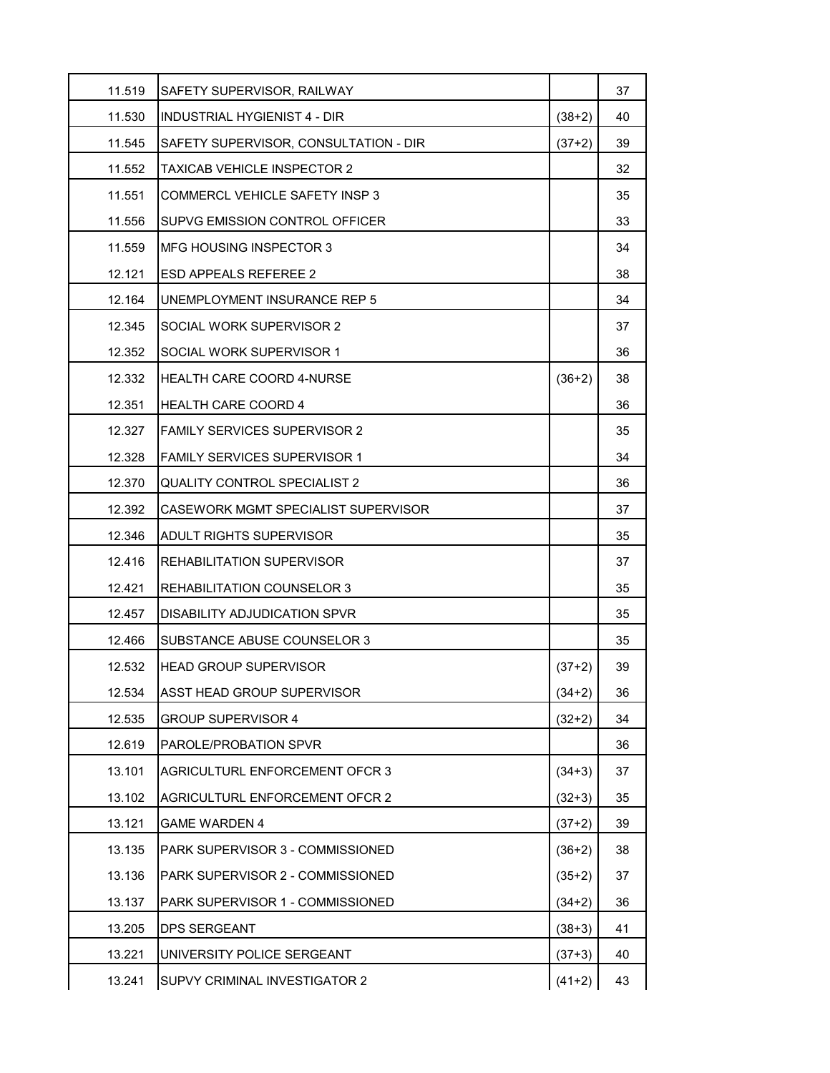| 11.519 | SAFETY SUPERVISOR, RAILWAY              |          | 37 |
|--------|-----------------------------------------|----------|----|
| 11.530 | INDUSTRIAL HYGIENIST 4 - DIR            | $(38+2)$ | 40 |
| 11.545 | SAFETY SUPERVISOR, CONSULTATION - DIR   | $(37+2)$ | 39 |
| 11.552 | <b>TAXICAB VEHICLE INSPECTOR 2</b>      |          | 32 |
| 11.551 | <b>COMMERCL VEHICLE SAFETY INSP 3</b>   |          | 35 |
| 11.556 | SUPVG EMISSION CONTROL OFFICER          |          | 33 |
| 11.559 | MFG HOUSING INSPECTOR 3                 |          | 34 |
| 12.121 | <b>ESD APPEALS REFEREE 2</b>            |          | 38 |
| 12.164 | UNEMPLOYMENT INSURANCE REP 5            |          | 34 |
| 12.345 | SOCIAL WORK SUPERVISOR 2                |          | 37 |
| 12.352 | SOCIAL WORK SUPERVISOR 1                |          | 36 |
| 12.332 | <b>HEALTH CARE COORD 4-NURSE</b>        | $(36+2)$ | 38 |
| 12.351 | <b>HEALTH CARE COORD 4</b>              |          | 36 |
| 12.327 | <b>FAMILY SERVICES SUPERVISOR 2</b>     |          | 35 |
| 12.328 | <b>FAMILY SERVICES SUPERVISOR 1</b>     |          | 34 |
| 12.370 | <b>QUALITY CONTROL SPECIALIST 2</b>     |          | 36 |
| 12.392 | CASEWORK MGMT SPECIALIST SUPERVISOR     |          | 37 |
| 12.346 | <b>ADULT RIGHTS SUPERVISOR</b>          |          | 35 |
| 12.416 | <b>REHABILITATION SUPERVISOR</b>        |          | 37 |
| 12.421 | REHABILITATION COUNSELOR 3              |          | 35 |
| 12.457 | DISABILITY ADJUDICATION SPVR            |          | 35 |
| 12.466 | SUBSTANCE ABUSE COUNSELOR 3             |          | 35 |
| 12.532 | <b>HEAD GROUP SUPERVISOR</b>            | $(37+2)$ | 39 |
| 12.534 | ASST HEAD GROUP SUPERVISOR              | $(34+2)$ | 36 |
| 12.535 | <b>GROUP SUPERVISOR 4</b>               | $(32+2)$ | 34 |
| 12.619 | PAROLE/PROBATION SPVR                   |          | 36 |
| 13.101 | AGRICULTURL ENFORCEMENT OFCR 3          | $(34+3)$ | 37 |
| 13.102 | <b>AGRICULTURL ENFORCEMENT OFCR 2</b>   | $(32+3)$ | 35 |
| 13.121 | <b>GAME WARDEN 4</b>                    | $(37+2)$ | 39 |
| 13.135 | PARK SUPERVISOR 3 - COMMISSIONED        | $(36+2)$ | 38 |
| 13.136 | <b>PARK SUPERVISOR 2 - COMMISSIONED</b> | $(35+2)$ | 37 |
| 13.137 | PARK SUPERVISOR 1 - COMMISSIONED        | $(34+2)$ | 36 |
| 13.205 | <b>DPS SERGEANT</b>                     | $(38+3)$ | 41 |
| 13.221 | UNIVERSITY POLICE SERGEANT              | $(37+3)$ | 40 |
| 13.241 | SUPVY CRIMINAL INVESTIGATOR 2           | $(41+2)$ | 43 |